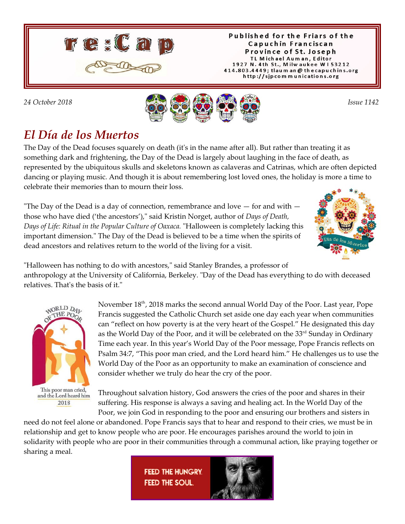

Published for the Friars of the Capuchin Franciscan Province of St. Joseph TL Michael Auman, Editor 1927 N. 4th St., Milwaukee W153212 414.803.4449; tlaum an @ thecapuchins.org http://sjpcommunications.org



## *El Día de los Muertos*

The Day of the Dead focuses squarely on death (it's in the name after all). But rather than treating it as something dark and frightening, the Day of the Dead is largely about laughing in the face of death, as represented by the ubiquitous skulls and skeletons known as calaveras and Catrinas, which are often depicted dancing or playing music. And though it is about remembering lost loved ones, the holiday is more a time to celebrate their memories than to mourn their loss.

"The Day of the Dead is a day of connection, remembrance and love  $-$  for and with  $$ those who have died ('the ancestors')," said Kristin Norget, author of *Days of Death, Days of Life: Ritual in the Popular Culture of Oaxaca.* "Halloween is completely lacking this important dimension." The Day of the Dead is believed to be a time when the spirits of dead ancestors and relatives return to the world of the living for a visit.



"Halloween has nothing to do with ancestors," said Stanley Brandes, a professor of anthropology at the University of California, Berkeley. "Day of the Dead has everything to do with deceased relatives. That's the basis of it."



This poor man cried, and the Lord heard him 2018

November  $18<sup>th</sup>$ , 2018 marks the second annual World Day of the Poor. Last year, Pope Francis suggested the Catholic Church set aside one day each year when communities can "reflect on how poverty is at the very heart of the Gospel." He designated this day as the World Day of the Poor, and it will be celebrated on the  $33<sup>rd</sup>$  Sunday in Ordinary Time each year. In this year's World Day of the Poor message, Pope Francis reflects on Psalm 34:7, "This poor man cried, and the Lord heard him." He challenges us to use the World Day of the Poor as an opportunity to make an examination of conscience and consider whether we truly do hear the cry of the poor.

Throughout salvation history, God answers the cries of the poor and shares in their suffering. His response is always a saving and healing act. In the World Day of the Poor, we join God in responding to the poor and ensuring our brothers and sisters in

need do not feel alone or abandoned. Pope Francis says that to hear and respond to their cries, we must be in relationship and get to know people who are poor. He encourages parishes around the world to join in solidarity with people who are poor in their communities through a communal action, like praying together or sharing a meal.

> **FEED THE HUNGRY FEED THE SOUL**

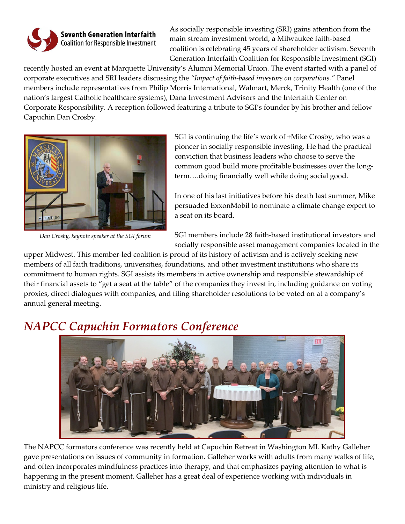

**Seventh Generation Interfaith** Coalition for Responsible Investment As socially responsible investing (SRI) gains attention from the main stream investment world, a Milwaukee faith-based coalition is celebrating 45 years of shareholder activism. Seventh Generation Interfaith Coalition for Responsible Investment (SGI)

recently hosted an event at Marquette University's Alumni Memorial Union. The event started with a panel of corporate executives and SRI leaders discussing the *"Impact of faith-based investors on corporations."* Panel members include representatives from Philip Morris International, Walmart, Merck, Trinity Health (one of the nation's largest Catholic healthcare systems), Dana Investment Advisors and the Interfaith Center on Corporate Responsibility. A reception followed featuring a tribute to SGI's founder by his brother and fellow Capuchin Dan Crosby.



*Dan Crosby, keynote speaker at the SGI forum*

SGI is continuing the life's work of +Mike Crosby, who was a pioneer in socially responsible investing. He had the practical conviction that business leaders who choose to serve the common good build more profitable businesses over the longterm….doing financially well while doing social good.

In one of his last initiatives before his death last summer, Mike persuaded ExxonMobil to nominate a climate change expert to a seat on its board.

SGI members include 28 faith-based institutional investors and socially responsible asset management companies located in the

upper Midwest. This member-led coalition is proud of its history of activism and is actively seeking new members of all faith traditions, universities, foundations, and other investment institutions who share its commitment to human rights. SGI assists its members in active ownership and responsible stewardship of their financial assets to "get a seat at the table" of the companies they invest in, including guidance on voting proxies, direct dialogues with companies, and filing shareholder resolutions to be voted on at a company's annual general meeting.

#### *NAPCC Capuchin Formators Conference*



The NAPCC formators conference was recently held at Capuchin Retreat in Washington MI. Kathy Galleher gave presentations on issues of community in formation. Galleher works with adults from many walks of life, and often incorporates mindfulness practices into therapy, and that emphasizes paying attention to what is happening in the present moment. Galleher has a great deal of experience working with individuals in ministry and religious life.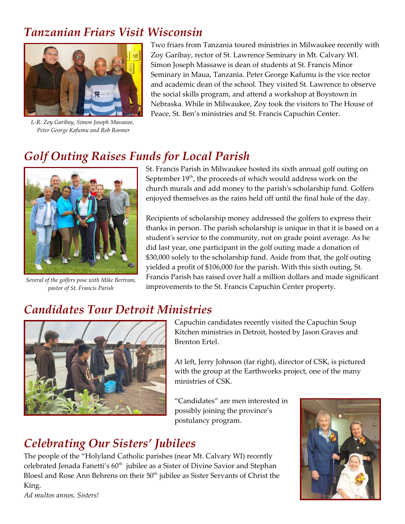### *Tanzanian Friars Visit Wisconsin*



*L-R: Zoy Garibay, Simon Joseph Massawe, Peter George Kafumu and Rob Roemer*

Two friars from Tanzania toured ministries in Milwaukee recently with Zoy Garibay, rector of St. Lawrence Seminary in Mt. Calvary WI. Simon Joseph Massawe is dean of students at St. Francis Minor Seminary in Maua, Tanzania. Peter George Kafumu is the vice rector and academic dean of the school. They visited St. Lawrence to observe the social skills program, and attend a workshop at Boystown in Nebraska. While in Milwaukee, Zoy took the visitors to The House of Peace, St. Ben's ministries and St. Francis Capuchin Center.

### *Golf Outing Raises Funds for Local Parish*



*Several of the golfers pose with Mike Bertram, pastor of St. Francis Parish*

St. Francis Parish in Milwaukee hosted its sixth annual golf outing on September  $19<sup>th</sup>$ , the proceeds of which would address work on the church murals and add money to the parish's scholarship fund. Golfers enjoyed themselves as the rains held off until the final hole of the day.

Recipients of scholarship money addressed the golfers to express their thanks in person. The parish scholarship is unique in that it is based on a student's service to the community, not on grade point average. As he did last year, one participant in the golf outing made a donation of \$30,000 solely to the scholarship fund. Aside from that, the golf outing yielded a profit of \$106,000 for the parish. With this sixth outing, St. Francis Parish has raised over half a million dollars and made significant improvements to the St. Francis Capuchin Center property.

# *Candidates Tour Detroit Ministries*



Capuchin candidates recently visited the Capuchin Soup Kitchen ministries in Detroit, hosted by Jason Graves and Brenton Ertel.

At left, Jerry Johnson (far right), director of CSK, is pictured with the group at the Earthworks project, one of the many ministries of CSK.

"Candidates" are men interested in possibly joining the province's postulancy program.

### *Celebrating Our Sisters' Jubilees*

The people of the "Holyland Catholic parishes (near Mt. Calvary WI) recently celebrated Jenada Fanetti's  $60<sup>th</sup>$  jubilee as a Sister of Divine Savior and Stephan Bloesl and Rose Ann Behrens on their 50<sup>th</sup> jubilee as Sister Servants of Christ the King.



*Ad multos annos, Sisters!*